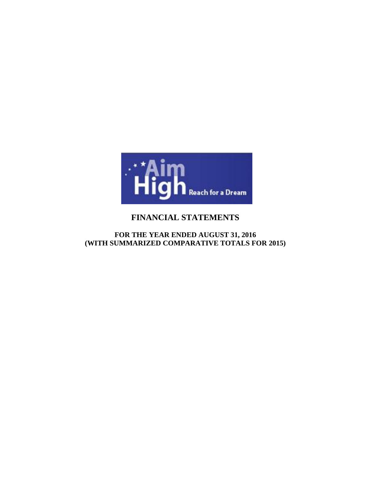

# **FINANCIAL STATEMENTS**

## **FOR THE YEAR ENDED AUGUST 31, 2016 (WITH SUMMARIZED COMPARATIVE TOTALS FOR 2015)**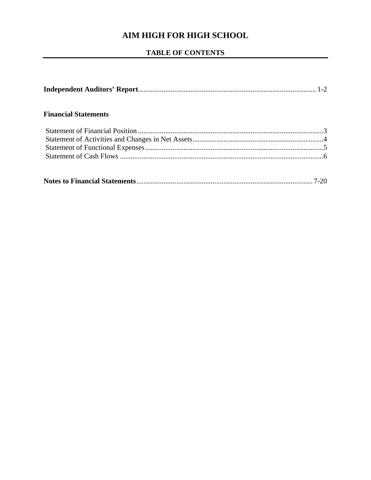## **TABLE OF CONTENTS**

| <b>Financial Statements</b> |  |
|-----------------------------|--|
|                             |  |
|                             |  |
|                             |  |
|                             |  |
|                             |  |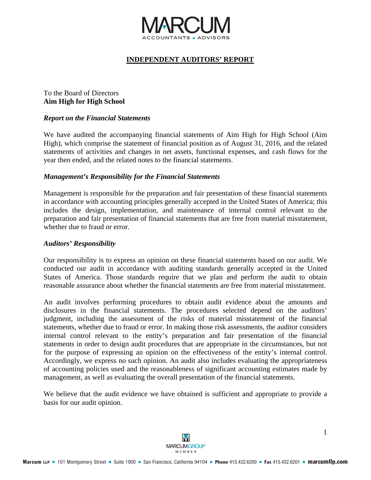

## **INDEPENDENT AUDITORS' REPORT**

### To the Board of Directors **Aim High for High School**

#### *Report on the Financial Statements*

We have audited the accompanying financial statements of Aim High for High School (Aim High), which comprise the statement of financial position as of August 31, 2016, and the related statements of activities and changes in net assets, functional expenses, and cash flows for the year then ended, and the related notes to the financial statements.

#### *Management's Responsibility for the Financial Statements*

Management is responsible for the preparation and fair presentation of these financial statements in accordance with accounting principles generally accepted in the United States of America; this includes the design, implementation, and maintenance of internal control relevant to the preparation and fair presentation of financial statements that are free from material misstatement, whether due to fraud or error.

#### *Auditors' Responsibility*

Our responsibility is to express an opinion on these financial statements based on our audit. We conducted our audit in accordance with auditing standards generally accepted in the United States of America. Those standards require that we plan and perform the audit to obtain reasonable assurance about whether the financial statements are free from material misstatement.

An audit involves performing procedures to obtain audit evidence about the amounts and disclosures in the financial statements. The procedures selected depend on the auditors' judgment, including the assessment of the risks of material misstatement of the financial statements, whether due to fraud or error. In making those risk assessments, the auditor considers internal control relevant to the entity's preparation and fair presentation of the financial statements in order to design audit procedures that are appropriate in the circumstances, but not for the purpose of expressing an opinion on the effectiveness of the entity's internal control. Accordingly, we express no such opinion. An audit also includes evaluating the appropriateness of accounting policies used and the reasonableness of significant accounting estimates made by management, as well as evaluating the overall presentation of the financial statements.

We believe that the audit evidence we have obtained is sufficient and appropriate to provide a basis for our audit opinion.



1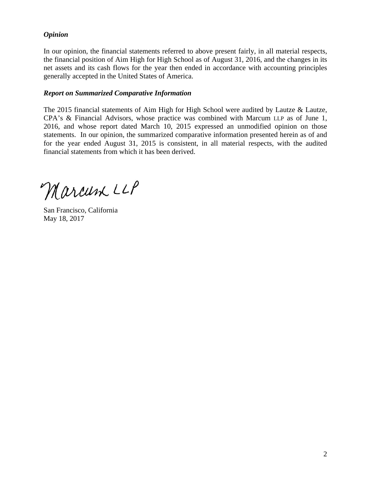## *Opinion*

In our opinion, the financial statements referred to above present fairly, in all material respects, the financial position of Aim High for High School as of August 31, 2016, and the changes in its net assets and its cash flows for the year then ended in accordance with accounting principles generally accepted in the United States of America.

## *Report on Summarized Comparative Information*

The 2015 financial statements of Aim High for High School were audited by Lautze & Lautze, CPA's & Financial Advisors, whose practice was combined with Marcum LLP as of June 1, 2016, and whose report dated March 10, 2015 expressed an unmodified opinion on those statements. In our opinion, the summarized comparative information presented herein as of and for the year ended August 31, 2015 is consistent, in all material respects, with the audited financial statements from which it has been derived.

Marcum LLP

San Francisco, California May 18, 2017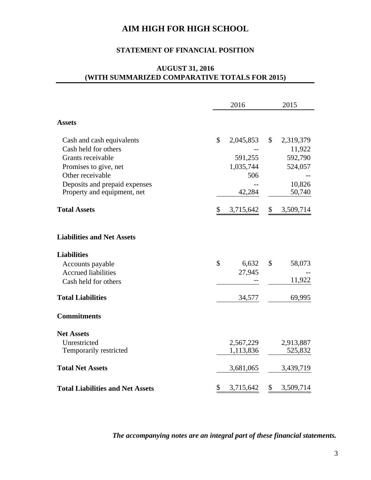## **STATEMENT OF FINANCIAL POSITION**

## **AUGUST 31, 2016 (WITH SUMMARIZED COMPARATIVE TOTALS FOR 2015)**

|                                                                                                                                                                                     | 2016                                                     | 2015          |                                                               |  |
|-------------------------------------------------------------------------------------------------------------------------------------------------------------------------------------|----------------------------------------------------------|---------------|---------------------------------------------------------------|--|
| <b>Assets</b>                                                                                                                                                                       |                                                          |               |                                                               |  |
| Cash and cash equivalents<br>Cash held for others<br>Grants receivable<br>Promises to give, net<br>Other receivable<br>Deposits and prepaid expenses<br>Property and equipment, net | \$<br>2,045,853<br>591,255<br>1,035,744<br>506<br>42,284 | $\mathbb{S}$  | 2,319,379<br>11,922<br>592,790<br>524,057<br>10,826<br>50,740 |  |
| <b>Total Assets</b>                                                                                                                                                                 | \$<br>3,715,642                                          | \$            | 3,509,714                                                     |  |
| <b>Liabilities and Net Assets</b>                                                                                                                                                   |                                                          |               |                                                               |  |
| <b>Liabilities</b><br>Accounts payable<br><b>Accrued liabilities</b><br>Cash held for others<br><b>Total Liabilities</b>                                                            | \$<br>6,632<br>27,945<br>34,577                          | $\mathcal{S}$ | 58,073<br>11,922<br>69,995                                    |  |
| <b>Commitments</b>                                                                                                                                                                  |                                                          |               |                                                               |  |
| <b>Net Assets</b><br>Unrestricted<br>Temporarily restricted                                                                                                                         | 2,567,229<br>1,113,836                                   |               | 2,913,887<br>525,832                                          |  |
| <b>Total Net Assets</b>                                                                                                                                                             | 3,681,065                                                |               | 3,439,719                                                     |  |
| <b>Total Liabilities and Net Assets</b>                                                                                                                                             | \$<br>3,715,642                                          | \$            | 3,509,714                                                     |  |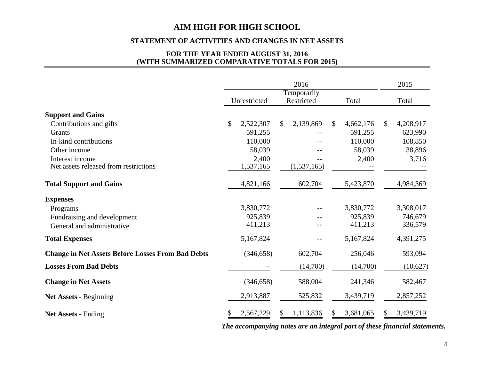#### **STATEMENT OF ACTIVITIES AND CHANGES IN NET ASSETS**

## **FOR THE YEAR ENDED AUGUST 31, 2016 (WITH SUMMARIZED COMPARATIVE TOTALS FOR 2015)**

|                                                          |                 |    | 2016                      |              |           |              | 2015      |
|----------------------------------------------------------|-----------------|----|---------------------------|--------------|-----------|--------------|-----------|
|                                                          | Unrestricted    |    | Temporarily<br>Restricted |              | Total     |              | Total     |
| <b>Support and Gains</b>                                 |                 |    |                           |              |           |              |           |
| Contributions and gifts                                  | \$<br>2,522,307 | \$ | 2,139,869                 | $\mathbb{S}$ | 4,662,176 | $\mathbb{S}$ | 4,208,917 |
| Grants                                                   | 591,255         |    |                           |              | 591,255   |              | 623,990   |
| In-kind contributions                                    | 110,000         |    |                           |              | 110,000   |              | 108,850   |
| Other income                                             | 58,039          |    |                           |              | 58,039    |              | 38,896    |
| Interest income                                          | 2,400           |    |                           |              | 2,400     |              | 3,716     |
| Net assets released from restrictions                    | 1,537,165       |    | (1,537,165)               |              |           |              |           |
| <b>Total Support and Gains</b>                           | 4,821,166       |    | 602,704                   |              | 5,423,870 |              | 4,984,369 |
| <b>Expenses</b>                                          |                 |    |                           |              |           |              |           |
| Programs                                                 | 3,830,772       |    |                           |              | 3,830,772 |              | 3,308,017 |
| Fundraising and development                              | 925,839         |    |                           |              | 925,839   |              | 746,679   |
| General and administrative                               | 411,213         |    | --                        |              | 411,213   |              | 336,579   |
| <b>Total Expenses</b>                                    | 5,167,824       |    |                           |              | 5,167,824 |              | 4,391,275 |
| <b>Change in Net Assets Before Losses From Bad Debts</b> | (346, 658)      |    | 602,704                   |              | 256,046   |              | 593,094   |
| <b>Losses From Bad Debts</b>                             |                 |    | (14,700)                  |              | (14,700)  |              | (10,627)  |
| <b>Change in Net Assets</b>                              | (346, 658)      |    | 588,004                   |              | 241,346   |              | 582,467   |
| <b>Net Assets - Beginning</b>                            | 2,913,887       |    | 525,832                   |              | 3,439,719 |              | 2,857,252 |
| <b>Net Assets - Ending</b>                               | 2,567,229       | S  | 1,113,836                 | \$           | 3,681,065 | S            | 3,439,719 |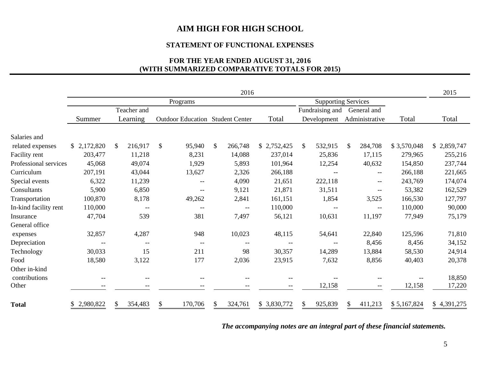#### **STATEMENT OF FUNCTIONAL EXPENSES**

## **FOR THE YEAR ENDED AUGUST 31, 2016 (WITH SUMMARIZED COMPARATIVE TOTALS FOR 2015)**

|                       | 2016        |                   |                                         |    |                   |             |              |                            |              | 2015                     |             |             |
|-----------------------|-------------|-------------------|-----------------------------------------|----|-------------------|-------------|--------------|----------------------------|--------------|--------------------------|-------------|-------------|
|                       |             |                   | Programs                                |    |                   |             |              | <b>Supporting Services</b> |              |                          |             |             |
|                       |             | Teacher and       |                                         |    |                   |             |              | Fundraising and            |              | General and              |             |             |
|                       | Summer      | Learning          | <b>Outdoor Education Student Center</b> |    |                   | Total       |              | Development                |              | Administrative           | Total       | Total       |
| Salaries and          |             |                   |                                         |    |                   |             |              |                            |              |                          |             |             |
| related expenses      | \$2,172,820 | 216,917<br>\$     | $\mathcal{S}$<br>95,940                 | \$ | 266,748           | \$2,752,425 | $\mathbb{S}$ | 532,915                    | $\mathbb{S}$ | 284,708                  | \$3,570,048 | \$2,859,747 |
| Facility rent         | 203,477     | 11,218            | 8,231                                   |    | 14,088            | 237,014     |              | 25,836                     |              | 17,115                   | 279,965     | 255,216     |
| Professional services | 45,068      | 49,074            | 1,929                                   |    | 5,893             | 101,964     |              | 12,254                     |              | 40,632                   | 154,850     | 237,744     |
| Curriculum            | 207,191     | 43,044            | 13,627                                  |    | 2,326             | 266,188     |              | --                         |              | $\overline{\phantom{m}}$ | 266,188     | 221,665     |
| Special events        | 6,322       | 11,239            | $\overline{\phantom{m}}$                |    | 4,090             | 21,651      |              | 222,118                    |              | $\overline{\phantom{m}}$ | 243,769     | 174,074     |
| Consultants           | 5,900       | 6,850             | $\overline{\phantom{m}}$                |    | 9,121             | 21,871      |              | 31,511                     |              | --                       | 53,382      | 162,529     |
| Transportation        | 100,870     | 8,178             | 49,262                                  |    | 2,841             | 161,151     |              | 1,854                      |              | 3,525                    | 166,530     | 127,797     |
| In-kind facility rent | 110,000     |                   |                                         |    | $\qquad \qquad -$ | 110,000     |              |                            |              | $-$                      | 110,000     | 90,000      |
| Insurance             | 47,704      | 539               | 381                                     |    | 7,497             | 56,121      |              | 10,631                     |              | 11,197                   | 77,949      | 75,179      |
| General office        |             |                   |                                         |    |                   |             |              |                            |              |                          |             |             |
| expenses              | 32,857      | 4,287             | 948                                     |    | 10,023            | 48,115      |              | 54,641                     |              | 22,840                   | 125,596     | 71,810      |
| Depreciation          |             | $\qquad \qquad -$ | $ -$                                    |    | $\qquad \qquad -$ |             |              | $\qquad \qquad -$          |              | 8,456                    | 8,456       | 34,152      |
| Technology            | 30,033      | 15                | 211                                     |    | 98                | 30,357      |              | 14,289                     |              | 13,884                   | 58,530      | 24,914      |
| Food                  | 18,580      | 3,122             | 177                                     |    | 2,036             | 23,915      |              | 7,632                      |              | 8,856                    | 40,403      | 20,378      |
| Other in-kind         |             |                   |                                         |    |                   |             |              |                            |              |                          |             |             |
| contributions         | $-$         |                   |                                         |    |                   |             |              |                            |              |                          |             | 18,850      |
| Other                 |             |                   |                                         |    |                   |             |              | 12,158                     |              | $-\,-$                   | 12,158      | 17,220      |
| <b>Total</b>          | 2,980,822   | 354,483<br>\$     | 170,706<br>\$                           | S  | 324,761           | \$3,830,772 |              | 925,839                    | \$           | 411,213                  | \$5,167,824 | \$4,391,275 |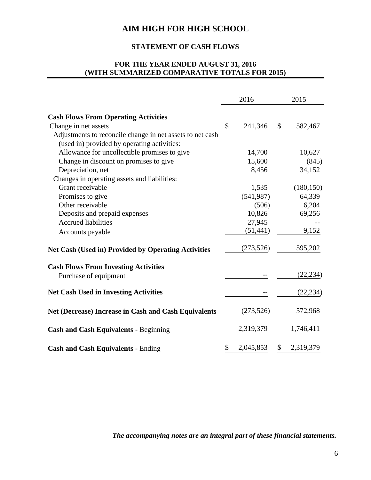### **STATEMENT OF CASH FLOWS**

## **FOR THE YEAR ENDED AUGUST 31, 2016 (WITH SUMMARIZED COMPARATIVE TOTALS FOR 2015)**

|                                                             | 2016 |            |    | 2015       |  |  |
|-------------------------------------------------------------|------|------------|----|------------|--|--|
| <b>Cash Flows From Operating Activities</b>                 |      |            |    |            |  |  |
| Change in net assets                                        | \$   | 241,346    | \$ | 582,467    |  |  |
| Adjustments to reconcile change in net assets to net cash   |      |            |    |            |  |  |
| (used in) provided by operating activities:                 |      |            |    |            |  |  |
| Allowance for uncollectible promises to give                |      | 14,700     |    | 10,627     |  |  |
| Change in discount on promises to give                      |      | 15,600     |    | (845)      |  |  |
| Depreciation, net                                           |      | 8,456      |    | 34,152     |  |  |
| Changes in operating assets and liabilities:                |      |            |    |            |  |  |
| Grant receivable                                            |      | 1,535      |    | (180, 150) |  |  |
| Promises to give                                            |      | (541, 987) |    | 64,339     |  |  |
| Other receivable                                            |      | (506)      |    | 6,204      |  |  |
| Deposits and prepaid expenses                               |      | 10,826     |    | 69,256     |  |  |
| <b>Accrued liabilities</b>                                  |      | 27,945     |    |            |  |  |
|                                                             |      | (51, 441)  |    | 9,152      |  |  |
| Accounts payable                                            |      |            |    |            |  |  |
| <b>Net Cash (Used in) Provided by Operating Activities</b>  |      | (273, 526) |    | 595,202    |  |  |
| <b>Cash Flows From Investing Activities</b>                 |      |            |    |            |  |  |
| Purchase of equipment                                       |      |            |    | (22, 234)  |  |  |
| <b>Net Cash Used in Investing Activities</b>                |      |            |    | (22, 234)  |  |  |
| <b>Net (Decrease) Increase in Cash and Cash Equivalents</b> |      | (273, 526) |    | 572,968    |  |  |
| <b>Cash and Cash Equivalents - Beginning</b>                |      | 2,319,379  |    | 1,746,411  |  |  |
| <b>Cash and Cash Equivalents - Ending</b>                   |      | 2,045,853  | \$ | 2,319,379  |  |  |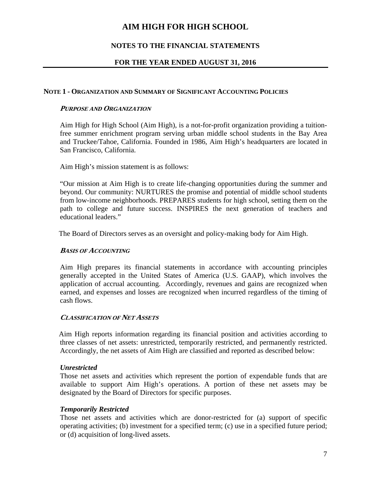## **NOTES TO THE FINANCIAL STATEMENTS**

## **FOR THE YEAR ENDED AUGUST 31, 2016**

## **NOTE 1 - ORGANIZATION AND SUMMARY OF SIGNIFICANT ACCOUNTING POLICIES**

#### **PURPOSE AND ORGANIZATION**

 Aim High for High School (Aim High), is a not-for-profit organization providing a tuitionfree summer enrichment program serving urban middle school students in the Bay Area and Truckee/Tahoe, California. Founded in 1986, Aim High's headquarters are located in San Francisco, California.

Aim High's mission statement is as follows:

 "Our mission at Aim High is to create life-changing opportunities during the summer and beyond. Our community: NURTURES the promise and potential of middle school students from low-income neighborhoods. PREPARES students for high school, setting them on the path to college and future success. INSPIRES the next generation of teachers and educational leaders."

The Board of Directors serves as an oversight and policy-making body for Aim High.

### **BASIS OF ACCOUNTING**

 Aim High prepares its financial statements in accordance with accounting principles generally accepted in the United States of America (U.S. GAAP), which involves the application of accrual accounting. Accordingly, revenues and gains are recognized when earned, and expenses and losses are recognized when incurred regardless of the timing of cash flows.

#### **CLASSIFICATION OF NET ASSETS**

 Aim High reports information regarding its financial position and activities according to three classes of net assets: unrestricted, temporarily restricted, and permanently restricted. Accordingly, the net assets of Aim High are classified and reported as described below:

### *Unrestricted*

Those net assets and activities which represent the portion of expendable funds that are available to support Aim High's operations. A portion of these net assets may be designated by the Board of Directors for specific purposes.

### *Temporarily Restricted*

Those net assets and activities which are donor-restricted for (a) support of specific operating activities; (b) investment for a specified term; (c) use in a specified future period; or (d) acquisition of long-lived assets.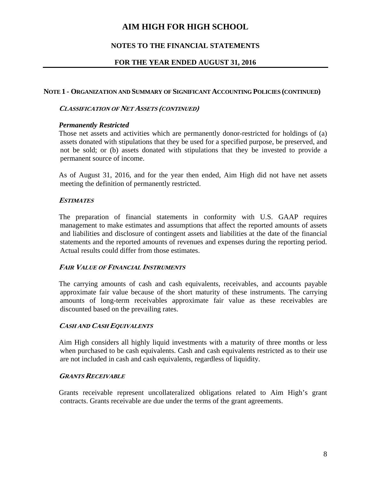## **NOTES TO THE FINANCIAL STATEMENTS**

## **FOR THE YEAR ENDED AUGUST 31, 2016**

## **NOTE 1 - ORGANIZATION AND SUMMARY OF SIGNIFICANT ACCOUNTING POLICIES (CONTINUED)**

### **CLASSIFICATION OF NET ASSETS (CONTINUED)**

## *Permanently Restricted*

Those net assets and activities which are permanently donor-restricted for holdings of (a) assets donated with stipulations that they be used for a specified purpose, be preserved, and not be sold; or (b) assets donated with stipulations that they be invested to provide a permanent source of income.

 As of August 31, 2016, and for the year then ended, Aim High did not have net assets meeting the definition of permanently restricted.

## **ESTIMATES**

 The preparation of financial statements in conformity with U.S. GAAP requires management to make estimates and assumptions that affect the reported amounts of assets and liabilities and disclosure of contingent assets and liabilities at the date of the financial statements and the reported amounts of revenues and expenses during the reporting period. Actual results could differ from those estimates.

### **FAIR VALUE OF FINANCIAL INSTRUMENTS**

 The carrying amounts of cash and cash equivalents, receivables, and accounts payable approximate fair value because of the short maturity of these instruments. The carrying amounts of long-term receivables approximate fair value as these receivables are discounted based on the prevailing rates.

### **CASH AND CASH EQUIVALENTS**

 Aim High considers all highly liquid investments with a maturity of three months or less when purchased to be cash equivalents. Cash and cash equivalents restricted as to their use are not included in cash and cash equivalents, regardless of liquidity.

### **GRANTS RECEIVABLE**

 Grants receivable represent uncollateralized obligations related to Aim High's grant contracts. Grants receivable are due under the terms of the grant agreements.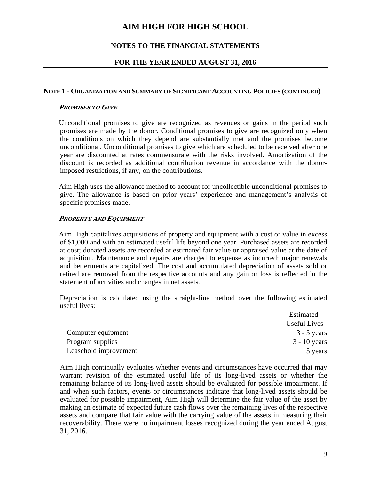## **NOTES TO THE FINANCIAL STATEMENTS**

### **FOR THE YEAR ENDED AUGUST 31, 2016**

#### **NOTE 1 - ORGANIZATION AND SUMMARY OF SIGNIFICANT ACCOUNTING POLICIES (CONTINUED)**

#### **PROMISES TO GIVE**

 Unconditional promises to give are recognized as revenues or gains in the period such promises are made by the donor. Conditional promises to give are recognized only when the conditions on which they depend are substantially met and the promises become unconditional. Unconditional promises to give which are scheduled to be received after one year are discounted at rates commensurate with the risks involved. Amortization of the discount is recorded as additional contribution revenue in accordance with the donorimposed restrictions, if any, on the contributions.

 Aim High uses the allowance method to account for uncollectible unconditional promises to give. The allowance is based on prior years' experience and management's analysis of specific promises made.

#### **PROPERTY AND EQUIPMENT**

 Aim High capitalizes acquisitions of property and equipment with a cost or value in excess of \$1,000 and with an estimated useful life beyond one year. Purchased assets are recorded at cost; donated assets are recorded at estimated fair value or appraised value at the date of acquisition. Maintenance and repairs are charged to expense as incurred; major renewals and betterments are capitalized. The cost and accumulated depreciation of assets sold or retired are removed from the respective accounts and any gain or loss is reflected in the statement of activities and changes in net assets.

Depreciation is calculated using the straight-line method over the following estimated useful lives:

|                       | Estimated      |
|-----------------------|----------------|
|                       | Useful Lives   |
| Computer equipment    | $3 - 5$ years  |
| Program supplies      | $3 - 10$ years |
| Leasehold improvement | 5 years        |

Aim High continually evaluates whether events and circumstances have occurred that may warrant revision of the estimated useful life of its long-lived assets or whether the remaining balance of its long-lived assets should be evaluated for possible impairment. If and when such factors, events or circumstances indicate that long-lived assets should be evaluated for possible impairment, Aim High will determine the fair value of the asset by making an estimate of expected future cash flows over the remaining lives of the respective assets and compare that fair value with the carrying value of the assets in measuring their recoverability. There were no impairment losses recognized during the year ended August 31, 2016.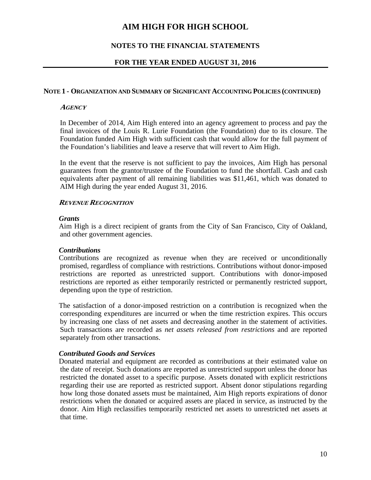## **NOTES TO THE FINANCIAL STATEMENTS**

## **FOR THE YEAR ENDED AUGUST 31, 2016**

#### **NOTE 1 - ORGANIZATION AND SUMMARY OF SIGNIFICANT ACCOUNTING POLICIES (CONTINUED)**

#### **AGENCY**

In December of 2014, Aim High entered into an agency agreement to process and pay the final invoices of the Louis R. Lurie Foundation (the Foundation) due to its closure. The Foundation funded Aim High with sufficient cash that would allow for the full payment of the Foundation's liabilities and leave a reserve that will revert to Aim High.

 In the event that the reserve is not sufficient to pay the invoices, Aim High has personal guarantees from the grantor/trustee of the Foundation to fund the shortfall. Cash and cash equivalents after payment of all remaining liabilities was \$11,461, which was donated to AIM High during the year ended August 31, 2016.

#### **REVENUE RECOGNITION**

#### *Grants*

Aim High is a direct recipient of grants from the City of San Francisco, City of Oakland, and other government agencies.

### *Contributions*

 Contributions are recognized as revenue when they are received or unconditionally promised, regardless of compliance with restrictions. Contributions without donor-imposed restrictions are reported as unrestricted support. Contributions with donor-imposed restrictions are reported as either temporarily restricted or permanently restricted support, depending upon the type of restriction.

 The satisfaction of a donor-imposed restriction on a contribution is recognized when the corresponding expenditures are incurred or when the time restriction expires. This occurs by increasing one class of net assets and decreasing another in the statement of activities. Such transactions are recorded as *net assets released from restrictions* and are reported separately from other transactions.

### *Contributed Goods and Services*

 Donated material and equipment are recorded as contributions at their estimated value on the date of receipt. Such donations are reported as unrestricted support unless the donor has restricted the donated asset to a specific purpose. Assets donated with explicit restrictions regarding their use are reported as restricted support. Absent donor stipulations regarding how long those donated assets must be maintained, Aim High reports expirations of donor restrictions when the donated or acquired assets are placed in service, as instructed by the donor. Aim High reclassifies temporarily restricted net assets to unrestricted net assets at that time.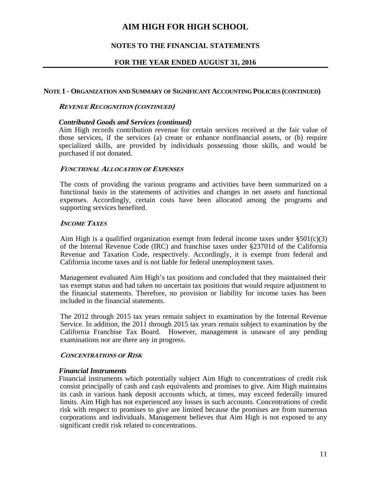## **NOTES TO THE FINANCIAL STATEMENTS**

### **FOR THE YEAR ENDED AUGUST 31, 2016**

#### **NOTE 1 - ORGANIZATION AND SUMMARY OF SIGNIFICANT ACCOUNTING POLICIES (CONTINUED)**

### **REVENUE RECOGNITION (CONTINUED)**

#### *Contributed Goods and Services (continued)*

 Aim High records contribution revenue for certain services received at the fair value of those services, if the services (a) create or enhance nonfinancial assets, or (b) require specialized skills, are provided by individuals possessing those skills, and would be purchased if not donated.

#### **FUNCTIONAL ALLOCATION OF EXPENSES**

The costs of providing the various programs and activities have been summarized on a functional basis in the statements of activities and changes in net assets and functional expenses. Accordingly, certain costs have been allocated among the programs and supporting services benefited.

#### **INCOME TAXES**

Aim High is a qualified organization exempt from federal income taxes under  $\S 501(c)(3)$ of the Internal Revenue Code (IRC) and franchise taxes under §23701d of the California Revenue and Taxation Code, respectively. Accordingly, it is exempt from federal and California income taxes and is not liable for federal unemployment taxes.

Management evaluated Aim High's tax positions and concluded that they maintained their tax exempt status and had taken no uncertain tax positions that would require adjustment to the financial statements. Therefore, no provision or liability for income taxes has been included in the financial statements.

The 2012 through 2015 tax years remain subject to examination by the Internal Revenue Service. In addition, the 2011 through 2015 tax years remain subject to examination by the California Franchise Tax Board. However, management is unaware of any pending examinations nor are there any in progress.

#### **CONCENTRATIONS OF RISK**

#### *Financial Instruments*

 Financial instruments which potentially subject Aim High to concentrations of credit risk consist principally of cash and cash equivalents and promises to give. Aim High maintains its cash in various bank deposit accounts which, at times, may exceed federally insured limits. Aim High has not experienced any losses in such accounts. Concentrations of credit risk with respect to promises to give are limited because the promises are from numerous corporations and individuals. Management believes that Aim High is not exposed to any significant credit risk related to concentrations.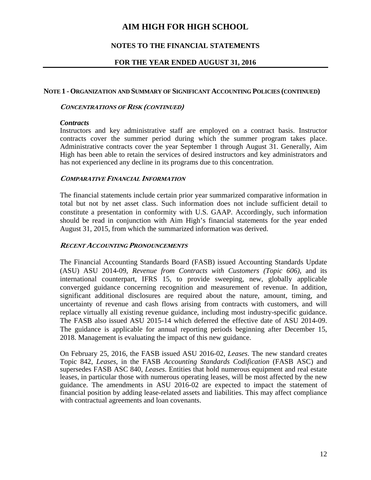## **NOTES TO THE FINANCIAL STATEMENTS**

### **FOR THE YEAR ENDED AUGUST 31, 2016**

#### **NOTE 1 - ORGANIZATION AND SUMMARY OF SIGNIFICANT ACCOUNTING POLICIES (CONTINUED)**

#### **CONCENTRATIONS OF RISK (CONTINUED)**

#### *Contracts*

 Instructors and key administrative staff are employed on a contract basis. Instructor contracts cover the summer period during which the summer program takes place. Administrative contracts cover the year September 1 through August 31. Generally, Aim High has been able to retain the services of desired instructors and key administrators and has not experienced any decline in its programs due to this concentration.

#### **COMPARATIVE FINANCIAL INFORMATION**

 The financial statements include certain prior year summarized comparative information in total but not by net asset class. Such information does not include sufficient detail to constitute a presentation in conformity with U.S. GAAP. Accordingly, such information should be read in conjunction with Aim High's financial statements for the year ended August 31, 2015, from which the summarized information was derived.

## **RECENT ACCOUNTING PRONOUNCEMENTS**

 The Financial Accounting Standards Board (FASB) issued Accounting Standards Update (ASU) ASU 2014-09, *Revenue from Contracts with Customers (Topic 606)*, and its international counterpart, IFRS 15, to provide sweeping, new, globally applicable converged guidance concerning recognition and measurement of revenue. In addition, significant additional disclosures are required about the nature, amount, timing, and uncertainty of revenue and cash flows arising from contracts with customers, and will replace virtually all existing revenue guidance, including most industry-specific guidance. The FASB also issued ASU 2015-14 which deferred the effective date of ASU 2014-09. The guidance is applicable for annual reporting periods beginning after December 15, 2018. Management is evaluating the impact of this new guidance.

On February 25, 2016, the FASB issued ASU 2016-02, *Leases*. The new standard creates Topic 842, *Leases*, in the FASB *Accounting Standards Codification* (FASB ASC) and supersedes FASB ASC 840, *Leases*. Entities that hold numerous equipment and real estate leases, in particular those with numerous operating leases, will be most affected by the new guidance. The amendments in ASU 2016-02 are expected to impact the statement of financial position by adding lease-related assets and liabilities. This may affect compliance with contractual agreements and loan covenants.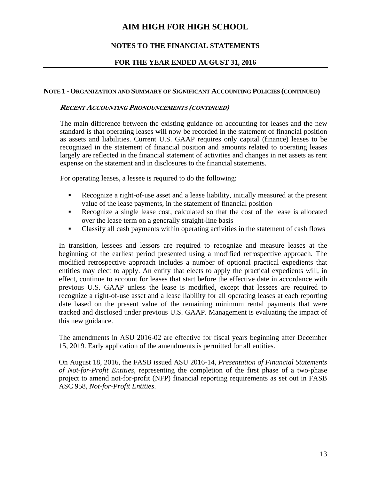## **NOTES TO THE FINANCIAL STATEMENTS**

## **FOR THE YEAR ENDED AUGUST 31, 2016**

#### **NOTE 1 - ORGANIZATION AND SUMMARY OF SIGNIFICANT ACCOUNTING POLICIES (CONTINUED)**

#### **RECENT ACCOUNTING PRONOUNCEMENTS (CONTINUED)**

The main difference between the existing guidance on accounting for leases and the new standard is that operating leases will now be recorded in the statement of financial position as assets and liabilities. Current U.S. GAAP requires only capital (finance) leases to be recognized in the statement of financial position and amounts related to operating leases largely are reflected in the financial statement of activities and changes in net assets as rent expense on the statement and in disclosures to the financial statements.

For operating leases, a lessee is required to do the following:

- Recognize a right-of-use asset and a lease liability, initially measured at the present value of the lease payments, in the statement of financial position
- Recognize a single lease cost, calculated so that the cost of the lease is allocated over the lease term on a generally straight-line basis
- Classify all cash payments within operating activities in the statement of cash flows

In transition, lessees and lessors are required to recognize and measure leases at the beginning of the earliest period presented using a modified retrospective approach. The modified retrospective approach includes a number of optional practical expedients that entities may elect to apply. An entity that elects to apply the practical expedients will, in effect, continue to account for leases that start before the effective date in accordance with previous U.S. GAAP unless the lease is modified, except that lessees are required to recognize a right-of-use asset and a lease liability for all operating leases at each reporting date based on the present value of the remaining minimum rental payments that were tracked and disclosed under previous U.S. GAAP. Management is evaluating the impact of this new guidance.

The amendments in ASU 2016-02 are effective for fiscal years beginning after December 15, 2019. Early application of the amendments is permitted for all entities.

On August 18, 2016, the FASB issued ASU 2016-14, *Presentation of Financial Statements of Not-for-Profit Entities*, representing the completion of the first phase of a two-phase project to amend not-for-profit (NFP) financial reporting requirements as set out in FASB ASC 958, *Not-for-Profit Entities*.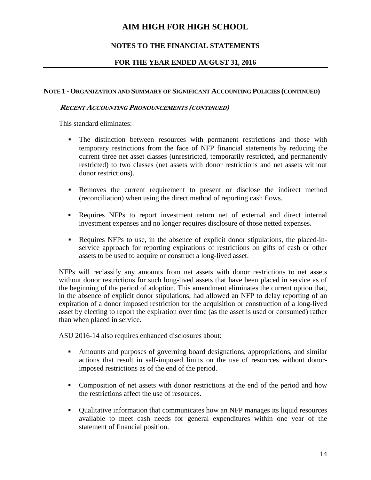## **NOTES TO THE FINANCIAL STATEMENTS**

## **FOR THE YEAR ENDED AUGUST 31, 2016**

#### **NOTE 1 - ORGANIZATION AND SUMMARY OF SIGNIFICANT ACCOUNTING POLICIES (CONTINUED)**

#### **RECENT ACCOUNTING PRONOUNCEMENTS (CONTINUED)**

This standard eliminates:

- The distinction between resources with permanent restrictions and those with temporary restrictions from the face of NFP financial statements by reducing the current three net asset classes (unrestricted, temporarily restricted, and permanently restricted) to two classes (net assets with donor restrictions and net assets without donor restrictions).
- Removes the current requirement to present or disclose the indirect method (reconciliation) when using the direct method of reporting cash flows.
- Requires NFPs to report investment return net of external and direct internal investment expenses and no longer requires disclosure of those netted expenses.
- Requires NFPs to use, in the absence of explicit donor stipulations, the placed-inservice approach for reporting expirations of restrictions on gifts of cash or other assets to be used to acquire or construct a long-lived asset.

 NFPs will reclassify any amounts from net assets with donor restrictions to net assets without donor restrictions for such long-lived assets that have been placed in service as of the beginning of the period of adoption. This amendment eliminates the current option that, in the absence of explicit donor stipulations, had allowed an NFP to delay reporting of an expiration of a donor imposed restriction for the acquisition or construction of a long-lived asset by electing to report the expiration over time (as the asset is used or consumed) rather than when placed in service.

ASU 2016-14 also requires enhanced disclosures about:

- Amounts and purposes of governing board designations, appropriations, and similar actions that result in self-imposed limits on the use of resources without donorimposed restrictions as of the end of the period.
- Composition of net assets with donor restrictions at the end of the period and how the restrictions affect the use of resources.
- Qualitative information that communicates how an NFP manages its liquid resources available to meet cash needs for general expenditures within one year of the statement of financial position.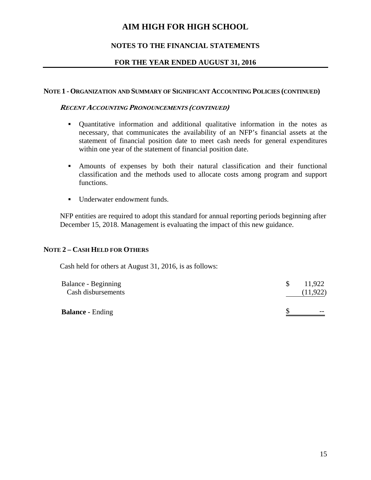## **NOTES TO THE FINANCIAL STATEMENTS**

## **FOR THE YEAR ENDED AUGUST 31, 2016**

### **NOTE 1 - ORGANIZATION AND SUMMARY OF SIGNIFICANT ACCOUNTING POLICIES (CONTINUED)**

#### **RECENT ACCOUNTING PRONOUNCEMENTS (CONTINUED)**

- Quantitative information and additional qualitative information in the notes as necessary, that communicates the availability of an NFP's financial assets at the statement of financial position date to meet cash needs for general expenditures within one year of the statement of financial position date.
- Amounts of expenses by both their natural classification and their functional classification and the methods used to allocate costs among program and support functions.
- Underwater endowment funds.

NFP entities are required to adopt this standard for annual reporting periods beginning after December 15, 2018. Management is evaluating the impact of this new guidance.

### **NOTE 2 – CASH HELD FOR OTHERS**

Cash held for others at August 31, 2016, is as follows:

| Balance - Beginning     | 11.922    |
|-------------------------|-----------|
| Cash disbursements      | (11, 922) |
|                         |           |
| <b>Balance - Ending</b> | $- -$     |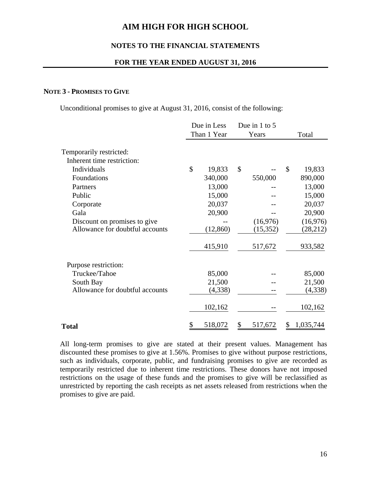### **NOTES TO THE FINANCIAL STATEMENTS**

#### **FOR THE YEAR ENDED AUGUST 31, 2016**

#### **NOTE 3 - PROMISES TO GIVE**

Unconditional promises to give at August 31, 2016, consist of the following:

|                                                       | Due in Less<br>Due in 1 to 5 |             |    |          |               |           |  |
|-------------------------------------------------------|------------------------------|-------------|----|----------|---------------|-----------|--|
|                                                       |                              | Than 1 Year |    | Years    |               | Total     |  |
| Temporarily restricted:<br>Inherent time restriction: |                              |             |    |          |               |           |  |
| Individuals                                           | \$                           | 19,833      | \$ |          | $\mathcal{S}$ | 19,833    |  |
| Foundations                                           |                              | 340,000     |    | 550,000  |               | 890,000   |  |
| Partners                                              |                              | 13,000      |    |          |               | 13,000    |  |
| Public                                                |                              | 15,000      |    |          |               | 15,000    |  |
| Corporate                                             |                              | 20,037      |    |          |               | 20,037    |  |
| Gala                                                  |                              | 20,900      |    |          |               | 20,900    |  |
| Discount on promises to give                          |                              |             |    | (16,976) |               | (16,976)  |  |
| Allowance for doubtful accounts                       |                              | (12, 860)   |    | (15,352) |               | (28,212)  |  |
|                                                       |                              | 415,910     |    | 517,672  |               | 933,582   |  |
| Purpose restriction:                                  |                              |             |    |          |               |           |  |
| Truckee/Tahoe                                         |                              | 85,000      |    |          |               | 85,000    |  |
| South Bay                                             |                              | 21,500      |    |          |               | 21,500    |  |
| Allowance for doubtful accounts                       |                              | (4,338)     |    |          |               | (4,338)   |  |
|                                                       |                              | 102,162     |    |          |               | 102,162   |  |
| Total                                                 | \$                           | 518,072     | \$ | 517,672  |               | 1,035,744 |  |

All long-term promises to give are stated at their present values. Management has discounted these promises to give at 1.56%. Promises to give without purpose restrictions, such as individuals, corporate, public, and fundraising promises to give are recorded as temporarily restricted due to inherent time restrictions. These donors have not imposed restrictions on the usage of these funds and the promises to give will be reclassified as unrestricted by reporting the cash receipts as net assets released from restrictions when the promises to give are paid.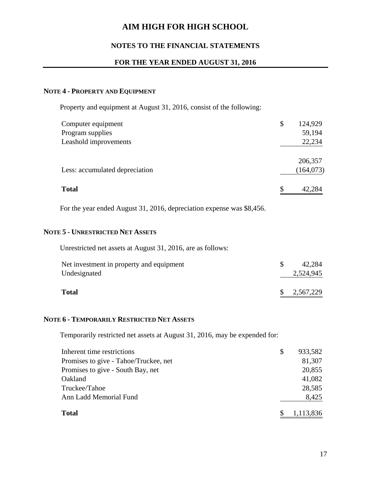## **NOTES TO THE FINANCIAL STATEMENTS**

### **FOR THE YEAR ENDED AUGUST 31, 2016**

## **NOTE 4 - PROPERTY AND EQUIPMENT**

Property and equipment at August 31, 2016, consist of the following:

| Computer equipment             | \$<br>124,929 |
|--------------------------------|---------------|
| Program supplies               | 59,194        |
| Leashold improvements          | 22,234        |
|                                | 206,357       |
| Less: accumulated depreciation | (164, 073)    |
| <b>Total</b>                   | 42,284        |
| .                              |               |

For the year ended August 31, 2016, depreciation expense was \$8,456.

### **NOTE 5 - UNRESTRICTED NET ASSETS**

Unrestricted net assets at August 31, 2016, are as follows:

| Net investment in property and equipment<br>Undesignated | 42,284<br>2,524,945 |
|----------------------------------------------------------|---------------------|
| <b>Total</b>                                             | 2,567,229           |

### **NOTE 6 - TEMPORARILY RESTRICTED NET ASSETS**

Temporarily restricted net assets at August 31, 2016, may be expended for:

| Inherent time restrictions            | <sup>\$</sup> | 933,582   |
|---------------------------------------|---------------|-----------|
| Promises to give - Tahoe/Truckee, net |               | 81,307    |
| Promises to give - South Bay, net     |               | 20,855    |
| Oakland                               |               | 41,082    |
| Truckee/Tahoe                         |               | 28,585    |
| Ann Ladd Memorial Fund                |               | 8,425     |
| <b>Total</b>                          |               | 1,113,836 |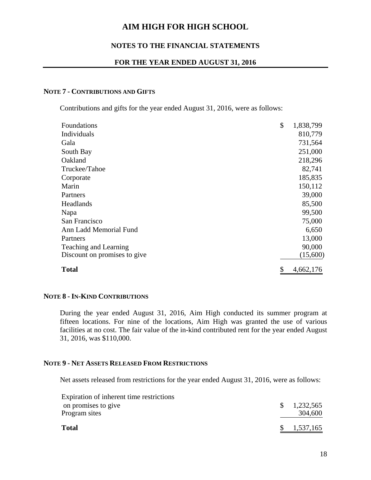## **NOTES TO THE FINANCIAL STATEMENTS**

#### **FOR THE YEAR ENDED AUGUST 31, 2016**

#### **NOTE 7 - CONTRIBUTIONS AND GIFTS**

Contributions and gifts for the year ended August 31, 2016, were as follows:

| Foundations                  | \$<br>1,838,799 |
|------------------------------|-----------------|
| Individuals                  | 810,779         |
| Gala                         | 731,564         |
| South Bay                    | 251,000         |
| Oakland                      | 218,296         |
| Truckee/Tahoe                | 82,741          |
| Corporate                    | 185,835         |
| Marin                        | 150,112         |
| Partners                     | 39,000          |
| Headlands                    | 85,500          |
| Napa                         | 99,500          |
| San Francisco                | 75,000          |
| Ann Ladd Memorial Fund       | 6,650           |
| Partners                     | 13,000          |
| Teaching and Learning        | 90,000          |
| Discount on promises to give | (15,600)        |
| <b>Total</b>                 | \$<br>4,662,176 |

#### **NOTE 8 - IN-KIND CONTRIBUTIONS**

During the year ended August 31, 2016, Aim High conducted its summer program at fifteen locations. For nine of the locations, Aim High was granted the use of various facilities at no cost. The fair value of the in-kind contributed rent for the year ended August 31, 2016, was \$110,000.

#### **NOTE 9 - NET ASSETS RELEASED FROM RESTRICTIONS**

Net assets released from restrictions for the year ended August 31, 2016, were as follows:

| <b>Total</b>                             | 1,537,165            |
|------------------------------------------|----------------------|
| on promises to give<br>Program sites     | 1,232,565<br>304,600 |
| Expiration of inherent time restrictions |                      |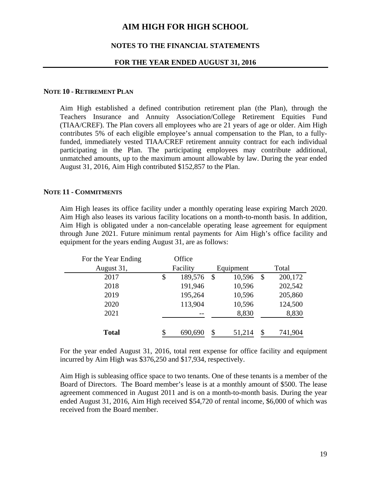#### **NOTES TO THE FINANCIAL STATEMENTS**

#### **FOR THE YEAR ENDED AUGUST 31, 2016**

#### **NOTE 10 - RETIREMENT PLAN**

Aim High established a defined contribution retirement plan (the Plan), through the Teachers Insurance and Annuity Association/College Retirement Equities Fund (TIAA/CREF). The Plan covers all employees who are 21 years of age or older. Aim High contributes 5% of each eligible employee's annual compensation to the Plan, to a fullyfunded, immediately vested TIAA/CREF retirement annuity contract for each individual participating in the Plan. The participating employees may contribute additional, unmatched amounts, up to the maximum amount allowable by law. During the year ended August 31, 2016, Aim High contributed \$152,857 to the Plan.

#### **NOTE 11 - COMMITMENTS**

 Aim High leases its office facility under a monthly operating lease expiring March 2020. Aim High also leases its various facility locations on a month-to-month basis. In addition, Aim High is obligated under a non-cancelable operating lease agreement for equipment through June 2021. Future minimum rental payments for Aim High's office facility and equipment for the years ending August 31, are as follows:

| For the Year Ending | Office        |                           |           |               |
|---------------------|---------------|---------------------------|-----------|---------------|
| August 31,          | Facility      |                           | Equipment | Total         |
| 2017                | \$<br>189,576 | $\boldsymbol{\mathsf{S}}$ | 10,596    | \$<br>200,172 |
| 2018                | 191,946       |                           | 10,596    | 202,542       |
| 2019                | 195,264       |                           | 10,596    | 205,860       |
| 2020                | 113,904       |                           | 10,596    | 124,500       |
| 2021                |               |                           | 8,830     | 8,830         |
|                     |               |                           |           |               |
| <b>Total</b>        | \$<br>690,690 | \$                        | 51,214    | \$<br>741,904 |

 For the year ended August 31, 2016, total rent expense for office facility and equipment incurred by Aim High was \$376,250 and \$17,934, respectively.

 Aim High is subleasing office space to two tenants. One of these tenants is a member of the Board of Directors. The Board member's lease is at a monthly amount of \$500. The lease agreement commenced in August 2011 and is on a month-to-month basis. During the year ended August 31, 2016, Aim High received \$54,720 of rental income, \$6,000 of which was received from the Board member.